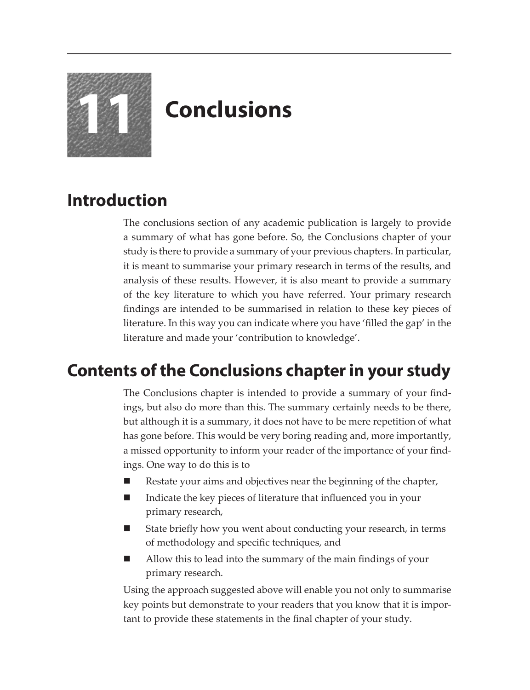

# **11 Conclusions**

## **Introduction**

The conclusions section of any academic publication is largely to provide a summary of what has gone before. So, the Conclusions chapter of your study is there to provide a summary of your previous chapters. In particular, it is meant to summarise your primary research in terms of the results, and analysis of these results. However, it is also meant to provide a summary of the key literature to which you have referred. Your primary research findings are intended to be summarised in relation to these key pieces of literature. In this way you can indicate where you have 'filled the gap' in the literature and made your 'contribution to knowledge'.

### **Contents of the Conclusions chapter in your study**

The Conclusions chapter is intended to provide a summary of your findings, but also do more than this. The summary certainly needs to be there, but although it is a summary, it does not have to be mere repetition of what has gone before. This would be very boring reading and, more importantly, a missed opportunity to inform your reader of the importance of your findings. One way to do this is to

- Restate your aims and objectives near the beginning of the chapter,
- Indicate the key pieces of literature that influenced you in your primary research,
- State briefly how you went about conducting your research, in terms of methodology and specific techniques, and
- Allow this to lead into the summary of the main findings of your primary research.

Using the approach suggested above will enable you not only to summarise key points but demonstrate to your readers that you know that it is important to provide these statements in the final chapter of your study.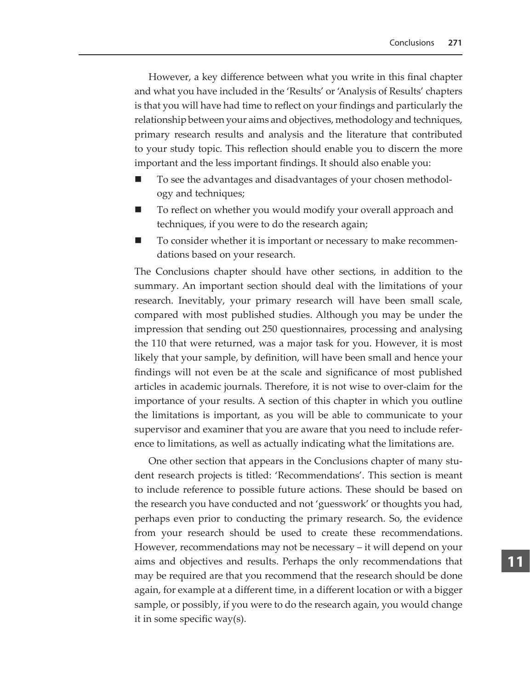However, a key difference between what you write in this final chapter and what you have included in the 'Results' or 'Analysis of Results' chapters is that you will have had time to reflect on your findings and particularly the relationship between your aims and objectives, methodology and techniques, primary research results and analysis and the literature that contributed to your study topic. This reflection should enable you to discern the more important and the less important findings. It should also enable you:

- To see the advantages and disadvantages of your chosen methodology and techniques;
- To reflect on whether you would modify your overall approach and techniques, if you were to do the research again;
- To consider whether it is important or necessary to make recommendations based on your research.

The Conclusions chapter should have other sections, in addition to the summary. An important section should deal with the limitations of your research. Inevitably, your primary research will have been small scale, compared with most published studies. Although you may be under the impression that sending out 250 questionnaires, processing and analysing the 110 that were returned, was a major task for you. However, it is most likely that your sample, by definition, will have been small and hence your findings will not even be at the scale and significance of most published articles in academic journals. Therefore, it is not wise to over-claim for the importance of your results. A section of this chapter in which you outline the limitations is important, as you will be able to communicate to your supervisor and examiner that you are aware that you need to include reference to limitations, as well as actually indicating what the limitations are.

One other section that appears in the Conclusions chapter of many student research projects is titled: 'Recommendations'. This section is meant to include reference to possible future actions. These should be based on the research you have conducted and not 'guesswork' or thoughts you had, perhaps even prior to conducting the primary research. So, the evidence from your research should be used to create these recommendations. However, recommendations may not be necessary – it will depend on your aims and objectives and results. Perhaps the only recommendations that may be required are that you recommend that the research should be done again, for example at a different time, in a different location or with a bigger sample, or possibly, if you were to do the research again, you would change it in some specific way(s).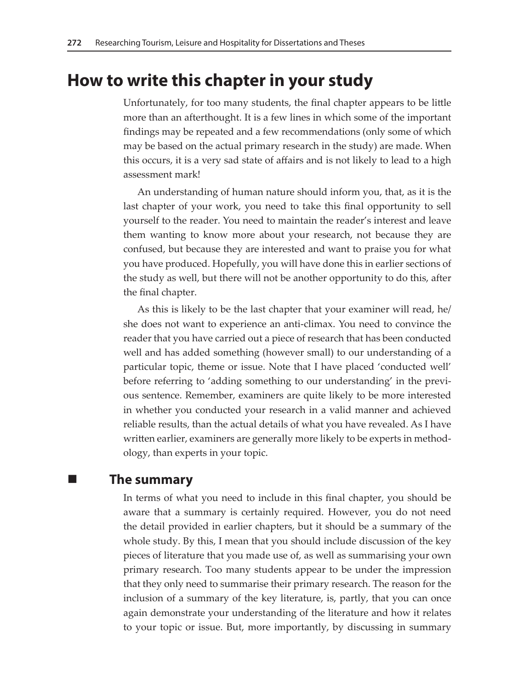#### **How to write this chapter in your study**

Unfortunately, for too many students, the final chapter appears to be little more than an afterthought. It is a few lines in which some of the important findings may be repeated and a few recommendations (only some of which may be based on the actual primary research in the study) are made. When this occurs, it is a very sad state of affairs and is not likely to lead to a high assessment mark!

An understanding of human nature should inform you, that, as it is the last chapter of your work, you need to take this final opportunity to sell yourself to the reader. You need to maintain the reader's interest and leave them wanting to know more about your research, not because they are confused, but because they are interested and want to praise you for what you have produced. Hopefully, you will have done this in earlier sections of the study as well, but there will not be another opportunity to do this, after the final chapter.

As this is likely to be the last chapter that your examiner will read, he/ she does not want to experience an anti-climax. You need to convince the reader that you have carried out a piece of research that has been conducted well and has added something (however small) to our understanding of a particular topic, theme or issue. Note that I have placed 'conducted well' before referring to 'adding something to our understanding' in the previous sentence. Remember, examiners are quite likely to be more interested in whether you conducted your research in a valid manner and achieved reliable results, than the actual details of what you have revealed. As I have written earlier, examiners are generally more likely to be experts in methodology, than experts in your topic.

#### **The summary**

In terms of what you need to include in this final chapter, you should be aware that a summary is certainly required. However, you do not need the detail provided in earlier chapters, but it should be a summary of the whole study. By this, I mean that you should include discussion of the key pieces of literature that you made use of, as well as summarising your own primary research. Too many students appear to be under the impression that they only need to summarise their primary research. The reason for the inclusion of a summary of the key literature, is, partly, that you can once again demonstrate your understanding of the literature and how it relates to your topic or issue. But, more importantly, by discussing in summary